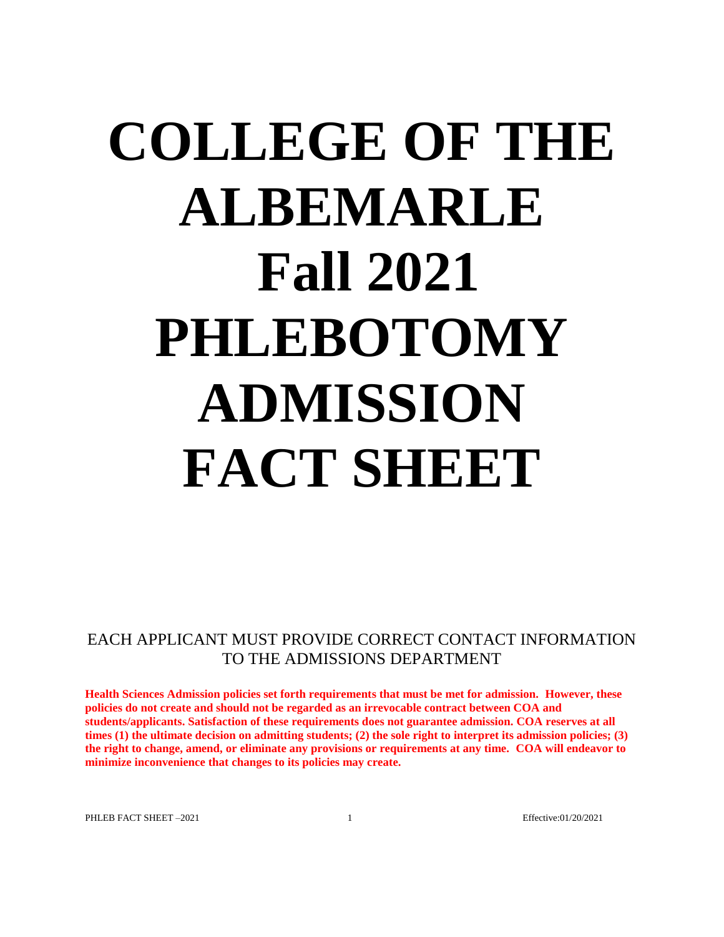# **COLLEGE OF THE ALBEMARLE Fall 2021 PHLEBOTOMY ADMISSION FACT SHEET**

EACH APPLICANT MUST PROVIDE CORRECT CONTACT INFORMATION TO THE ADMISSIONS DEPARTMENT

**Health Sciences Admission policies set forth requirements that must be met for admission. However, these policies do not create and should not be regarded as an irrevocable contract between COA and students/applicants. Satisfaction of these requirements does not guarantee admission. COA reserves at all times (1) the ultimate decision on admitting students; (2) the sole right to interpret its admission policies; (3) the right to change, amend, or eliminate any provisions or requirements at any time. COA will endeavor to minimize inconvenience that changes to its policies may create.**

PHLEB FACT SHEET -2021 1 1 Effective:01/20/2021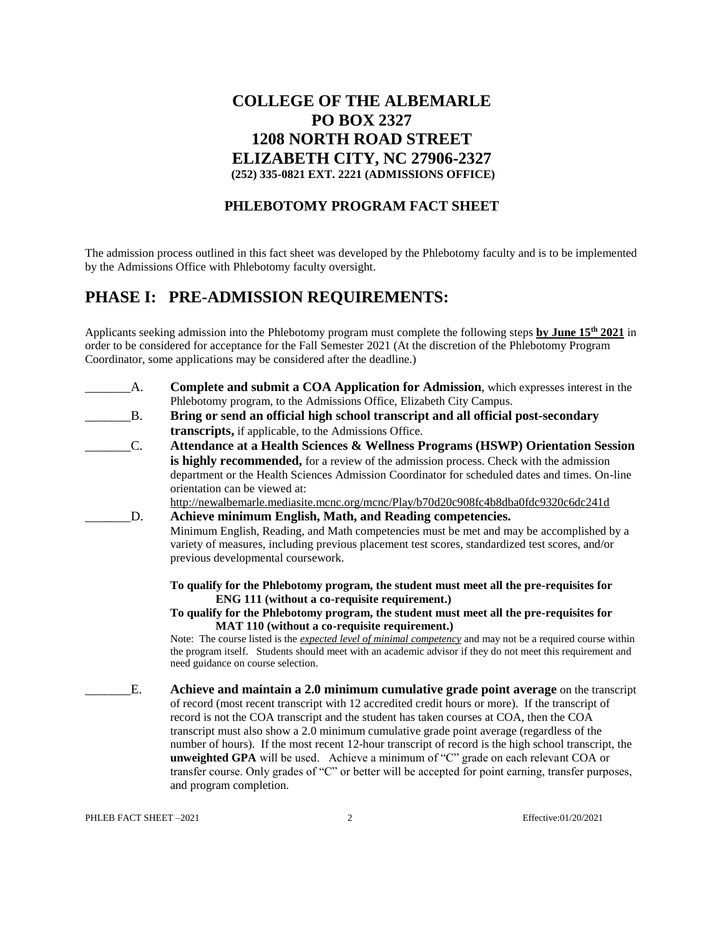## **COLLEGE OF THE ALBEMARLE PO BOX 2327 1208 NORTH ROAD STREET ELIZABETH CITY, NC 27906-2327 (252) 335-0821 EXT. 2221 (ADMISSIONS OFFICE)**

#### **PHLEBOTOMY PROGRAM FACT SHEET**

The admission process outlined in this fact sheet was developed by the Phlebotomy faculty and is to be implemented by the Admissions Office with Phlebotomy faculty oversight.

## **PHASE I: PRE-ADMISSION REQUIREMENTS:**

Applicants seeking admission into the Phlebotomy program must complete the following steps **by June 15 th 2021** in order to be considered for acceptance for the Fall Semester 2021 (At the discretion of the Phlebotomy Program Coordinator, some applications may be considered after the deadline.)

| A.            | <b>Complete and submit a COA Application for Admission, which expresses interest in the</b>                        |
|---------------|--------------------------------------------------------------------------------------------------------------------|
|               | Phlebotomy program, to the Admissions Office, Elizabeth City Campus.                                               |
| <b>B.</b>     | Bring or send an official high school transcript and all official post-secondary                                   |
|               | transcripts, if applicable, to the Admissions Office.                                                              |
| $\mathcal{C}$ | Attendance at a Health Sciences & Wellness Programs (HSWP) Orientation Session                                     |
|               | is highly recommended, for a review of the admission process. Check with the admission                             |
|               | department or the Health Sciences Admission Coordinator for scheduled dates and times. On-line                     |
|               | orientation can be viewed at:                                                                                      |
|               | http://newalbemarle.mediasite.mcnc.org/mcnc/Play/b70d20c908fc4b8dba0fdc9320c6dc241d                                |
| D.            | Achieve minimum English, Math, and Reading competencies.                                                           |
|               | Minimum English, Reading, and Math competencies must be met and may be accomplished by a                           |
|               | variety of measures, including previous placement test scores, standardized test scores, and/or                    |
|               | previous developmental coursework.                                                                                 |
|               |                                                                                                                    |
|               | To qualify for the Phlebotomy program, the student must meet all the pre-requisites for                            |
|               | ENG 111 (without a co-requisite requirement.)                                                                      |
|               | To qualify for the Phlebotomy program, the student must meet all the pre-requisites for                            |
|               | MAT 110 (without a co-requisite requirement.)                                                                      |
|               | Note: The course listed is the <i>expected level of minimal competency</i> and may not be a required course within |
|               | the program itself. Students should meet with an academic advisor if they do not meet this requirement and         |
|               | need guidance on course selection.                                                                                 |
| E.            | Achieve and maintain a 2.0 minimum cumulative grade point average on the transcript                                |
|               |                                                                                                                    |
|               | of record (most recent transcript with 12 accredited credit hours or more). If the transcript of                   |
|               | record is not the COA transcript and the student has taken courses at COA, then the COA                            |
|               | transcript must also show a 2.0 minimum cumulative grade point average (regardless of the                          |
|               | number of hours). If the most recent 12-hour transcript of record is the high school transcript, the               |
|               | unweighted GPA will be used. Achieve a minimum of "C" grade on each relevant COA or                                |
|               | transfer course. Only grades of "C" or better will be accepted for point earning, transfer purposes,               |

PHLEB FACT SHEET -2021 2 Effective:01/20/2021

and program completion.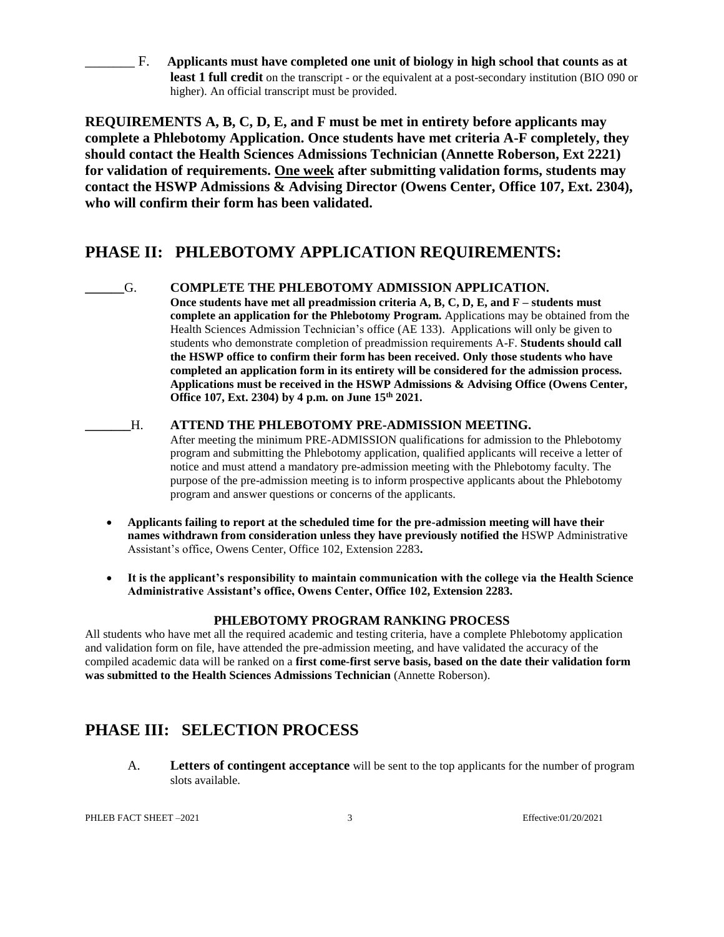\_\_\_\_\_\_\_ F. **Applicants must have completed one unit of biology in high school that counts as at least 1 full credit** on the transcript - or the equivalent at a post-secondary institution (BIO 090 or higher). An official transcript must be provided.

**REQUIREMENTS A, B, C, D, E, and F must be met in entirety before applicants may complete a Phlebotomy Application. Once students have met criteria A-F completely, they should contact the Health Sciences Admissions Technician (Annette Roberson, Ext 2221) for validation of requirements. One week after submitting validation forms, students may contact the HSWP Admissions & Advising Director (Owens Center, Office 107, Ext. 2304), who will confirm their form has been validated.**

# **PHASE II: PHLEBOTOMY APPLICATION REQUIREMENTS:**

- **\_\_\_\_\_\_**G. **COMPLETE THE PHLEBOTOMY ADMISSION APPLICATION. Once students have met all preadmission criteria A, B, C, D, E, and F – students must complete an application for the Phlebotomy Program.** Applications may be obtained from the Health Sciences Admission Technician's office (AE 133). Applications will only be given to students who demonstrate completion of preadmission requirements A-F. **Students should call the HSWP office to confirm their form has been received. Only those students who have completed an application form in its entirety will be considered for the admission process. Applications must be received in the HSWP Admissions & Advising Office (Owens Center, Office 107, Ext. 2304) by 4 p.m. on June 15th 2021.**
- **\_\_\_\_\_\_\_**H. **ATTEND THE PHLEBOTOMY PRE-ADMISSION MEETING.** After meeting the minimum PRE-ADMISSION qualifications for admission to the Phlebotomy program and submitting the Phlebotomy application, qualified applicants will receive a letter of notice and must attend a mandatory pre-admission meeting with the Phlebotomy faculty. The purpose of the pre-admission meeting is to inform prospective applicants about the Phlebotomy program and answer questions or concerns of the applicants.
	- **Applicants failing to report at the scheduled time for the pre-admission meeting will have their names withdrawn from consideration unless they have previously notified the** HSWP Administrative Assistant's office, Owens Center, Office 102, Extension 2283**.**
	- **It is the applicant's responsibility to maintain communication with the college via the Health Science Administrative Assistant's office, Owens Center, Office 102, Extension 2283.**

### **PHLEBOTOMY PROGRAM RANKING PROCESS**

All students who have met all the required academic and testing criteria, have a complete Phlebotomy application and validation form on file, have attended the pre-admission meeting, and have validated the accuracy of the compiled academic data will be ranked on a **first come-first serve basis, based on the date their validation form was submitted to the Health Sciences Admissions Technician** (Annette Roberson).

# **PHASE III: SELECTION PROCESS**

A. **Letters of contingent acceptance** will be sent to the top applicants for the number of program slots available.

PHLEB FACT SHEET -2021 3 Effective:01/20/2021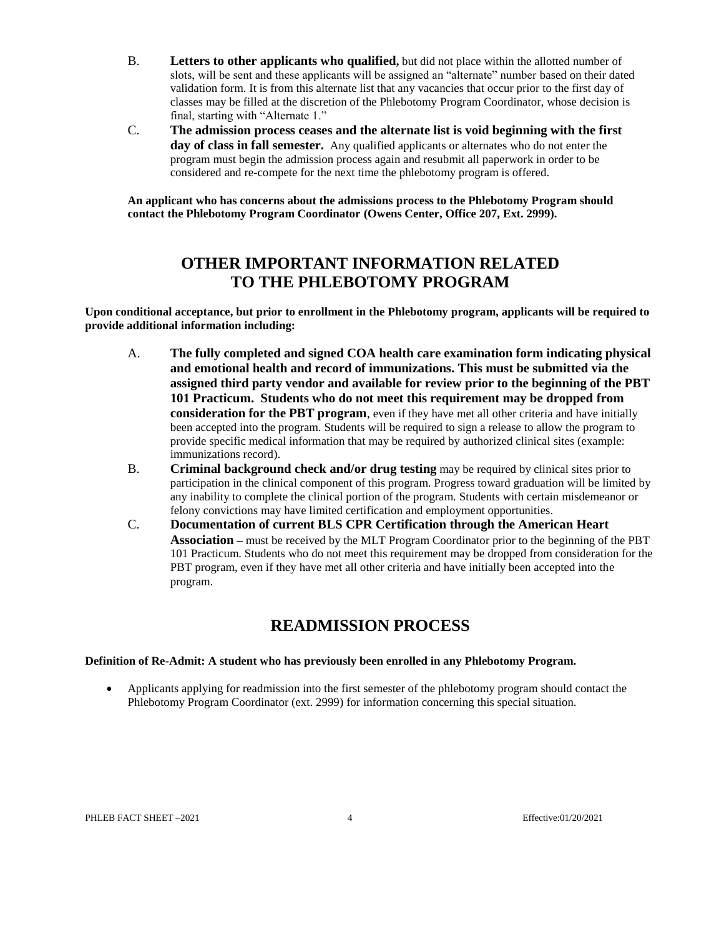- B. **Letters to other applicants who qualified,** but did not place within the allotted number of slots, will be sent and these applicants will be assigned an "alternate" number based on their dated validation form. It is from this alternate list that any vacancies that occur prior to the first day of classes may be filled at the discretion of the Phlebotomy Program Coordinator, whose decision is final, starting with "Alternate 1."
- C. **The admission process ceases and the alternate list is void beginning with the first day of class in fall semester.** Any qualified applicants or alternates who do not enter the program must begin the admission process again and resubmit all paperwork in order to be considered and re-compete for the next time the phlebotomy program is offered.

**An applicant who has concerns about the admissions process to the Phlebotomy Program should contact the Phlebotomy Program Coordinator (Owens Center, Office 207, Ext. 2999).**

# **OTHER IMPORTANT INFORMATION RELATED TO THE PHLEBOTOMY PROGRAM**

**Upon conditional acceptance, but prior to enrollment in the Phlebotomy program, applicants will be required to provide additional information including:**

- A. **The fully completed and signed COA health care examination form indicating physical and emotional health and record of immunizations. This must be submitted via the assigned third party vendor and available for review prior to the beginning of the PBT 101 Practicum. Students who do not meet this requirement may be dropped from consideration for the PBT program**, even if they have met all other criteria and have initially been accepted into the program. Students will be required to sign a release to allow the program to provide specific medical information that may be required by authorized clinical sites (example: immunizations record).
- B. **Criminal background check and/or drug testing** may be required by clinical sites prior to participation in the clinical component of this program. Progress toward graduation will be limited by any inability to complete the clinical portion of the program. Students with certain misdemeanor or felony convictions may have limited certification and employment opportunities.
- C. **Documentation of current BLS CPR Certification through the American Heart Association –** must be received by the MLT Program Coordinator prior to the beginning of the PBT 101 Practicum. Students who do not meet this requirement may be dropped from consideration for the PBT program, even if they have met all other criteria and have initially been accepted into the program.

# **READMISSION PROCESS**

#### **Definition of Re-Admit: A student who has previously been enrolled in any Phlebotomy Program.**

 Applicants applying for readmission into the first semester of the phlebotomy program should contact the Phlebotomy Program Coordinator (ext. 2999) for information concerning this special situation.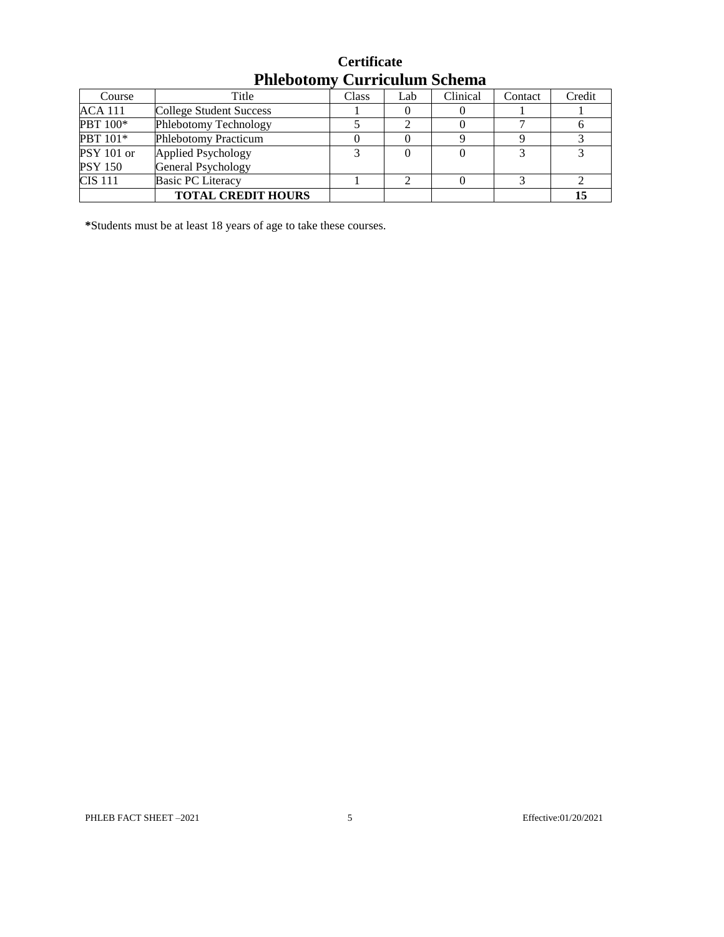| T HILDOLOHI I<br>- Curriculum Denema |                             |              |     |          |         |        |
|--------------------------------------|-----------------------------|--------------|-----|----------|---------|--------|
| Course                               | Title                       | <b>Class</b> | Lab | Clinical | Contact | Credit |
| ACA 111                              | College Student Success     |              |     |          |         |        |
| PBT 100*                             | Phlebotomy Technology       |              |     |          |         |        |
| PBT 101*                             | <b>Phlebotomy Practicum</b> |              |     |          |         |        |
| PSY 101 or                           | Applied Psychology          |              |     |          |         |        |
| PSY 150                              | General Psychology          |              |     |          |         |        |
| CIS 111                              | <b>Basic PC Literacy</b>    |              |     |          |         |        |
|                                      | <b>TOTAL CREDIT HOURS</b>   |              |     |          |         | 15     |

|                                     | <b>Certificate</b> |  |
|-------------------------------------|--------------------|--|
| <b>Phlebotomy Curriculum Schema</b> |                    |  |

**\***Students must be at least 18 years of age to take these courses.